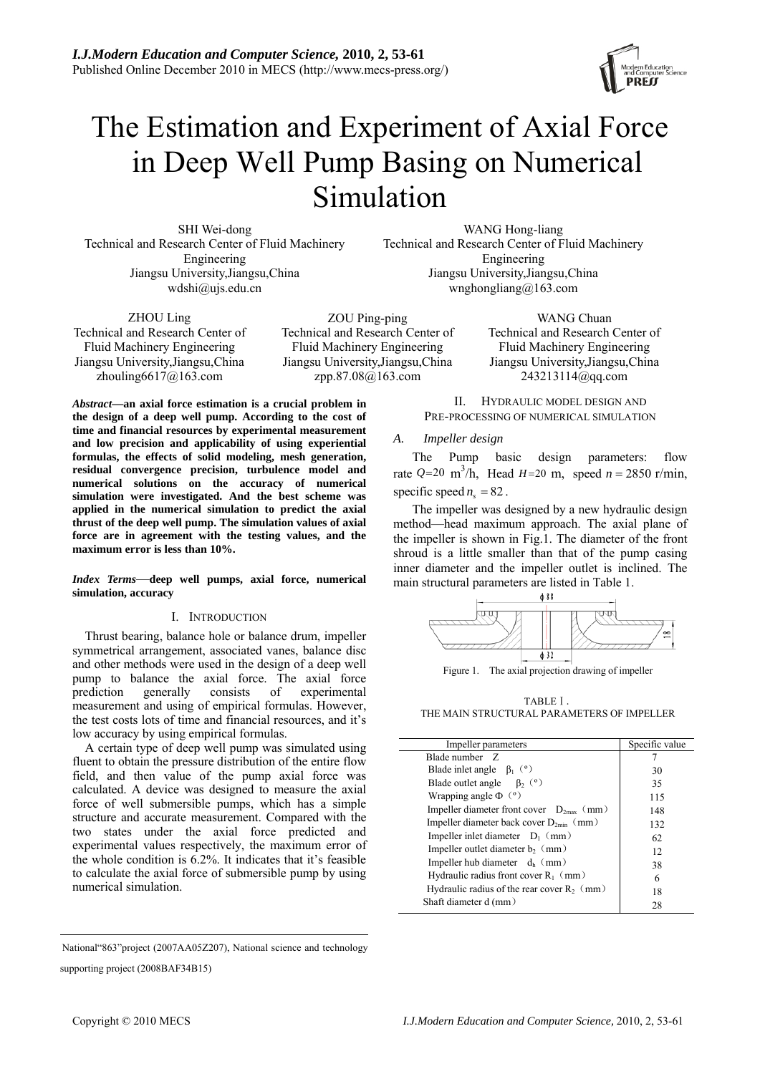# The Estimation and Experiment of Axial Force in Deep Well Pump Basing on Numerical Simulation

SHI Wei-dong Technical and Research Center of Fluid Machinery Engineering Jiangsu University,Jiangsu,China [wdshi@ujs.edu.cn](mailto:luweigang@ujs.edu.cn)

WANG Hong-liang Technical and Research Center of Fluid Machinery Engineering Jiangsu University,Jiangsu,China [wnghongliang@163.com](mailto:wnghongliang@163.com)

ZHOU Ling Technical and Research Center of Fluid Machinery Engineering Jiangsu University,Jiangsu,China zhouling $6617@163$ .com

ZOU Ping-ping Technical and Research Center of Fluid Machinery Engineering Jiangsu University,Jiangsu,China [zpp.87.08@163.com](mailto:zpp.87.08@163.com)

*Abstract***—an axial force estimation is a crucial problem in the design of a deep well pump. According to the cost of time and financial resources by experimental measurement and low precision and applicability of using experiential formulas, the effects of solid modeling, mesh generation, residual convergence precision, turbulence model and numerical solutions on the accuracy of numerical simulation were investigated. And the best scheme was applied in the numerical simulation to predict the axial thrust of the deep well pump. The simulation values of axial force are in agreement with the testing values, and the maximum error is less than 10%.** 

*Index Terms*—**deep well pumps, axial force, numerical simulation, accuracy**

## I. INTRODUCTION

Thrust bearing, balance hole or balance drum, impeller symmetrical arrangement, [associated vanes](http://dict.cnki.net/dict_result.aspx?searchword=%e8%83%8c%e5%8f%b6%e7%89%87&tjType=sentence&style=&t=associated+vane), balance disc and other methods were used in the design of a deep well pump to balance the axial force. The axial force prediction generally consists of experimental measurement and using of empirical formulas. However, the test costs lots of time and financial resources, and it's low accuracy by using empirical formulas.

A certain type of deep well pump was simulated using fluent to obtain the pressure distribution of the entire flow field, and then value of the pump axial force was calculated. A device was designed to measure the axial force of well submersible pumps, which has a simple structure and accurate measurement. Compared with the two states under the axial force predicted and experimental values respectively, the maximum error of the whole condition is  $6.2\%$ . It indicates that it's feasible to calculate the axial force of submersible pump by using numerical simulation.

National"863"project (2007AA05Z207), National science and technology

supporting project (2008BAF34B15)

PRE-PROCESSING OF NUMERICAL SIMULATION *A. Impeller design*  The Pump basic design parameters: flow

II. HYDRAULIC MODEL DESIGN AND

WANG Chuan Technical and Research Center of Fluid Machinery Engineering Jiangsu University,Jiangsu,China [243213114@qq.com](mailto:243213114@qq.com)

rate  $Q=20 \text{ m}^3/\text{h}$ , Head  $H=20 \text{ m}$ , speed  $n = 2850 \text{ r/min}$ , specific speed  $n_s = 82$ .

The impeller was designed by a new hydraulic design method—head maximum approach. The axial plane of the impeller is shown in Fig.1. The diameter of the front shroud is a little smaller than that of the pump casing inner diameter and the impeller outlet is inclined. The main structural parameters are listed in Table 1.



TABLEⅠ. THE MAIN STRUCTURAL PARAMETERS OF IMPELLER

| Impeller parameters                           | Specific value |
|-----------------------------------------------|----------------|
| Blade number Z                                |                |
| Blade inlet angle $\beta_1$ (°)               | 30             |
| Blade outlet angle $\beta_2$ (°)              | 35             |
| Wrapping angle $\Phi$ ( $\circ$ )             | 115            |
| Impeller diameter front cover $D_{2max}$ (mm) | 148            |
| Impeller diameter back cover $D_{2min}$ (mm)  | 132            |
| Impeller inlet diameter $D_1$ (mm)            | 62             |
| Impeller outlet diameter $b_2$ (mm)           | 12             |
| Impeller hub diameter $d_h$ (mm)              | 38             |
| Hydraulic radius front cover $R_1$ (mm)       |                |
| Hydraulic radius of the rear cover $R_2$ (mm) | 18             |
| Shaft diameter d (mm)                         | 28             |
|                                               |                |

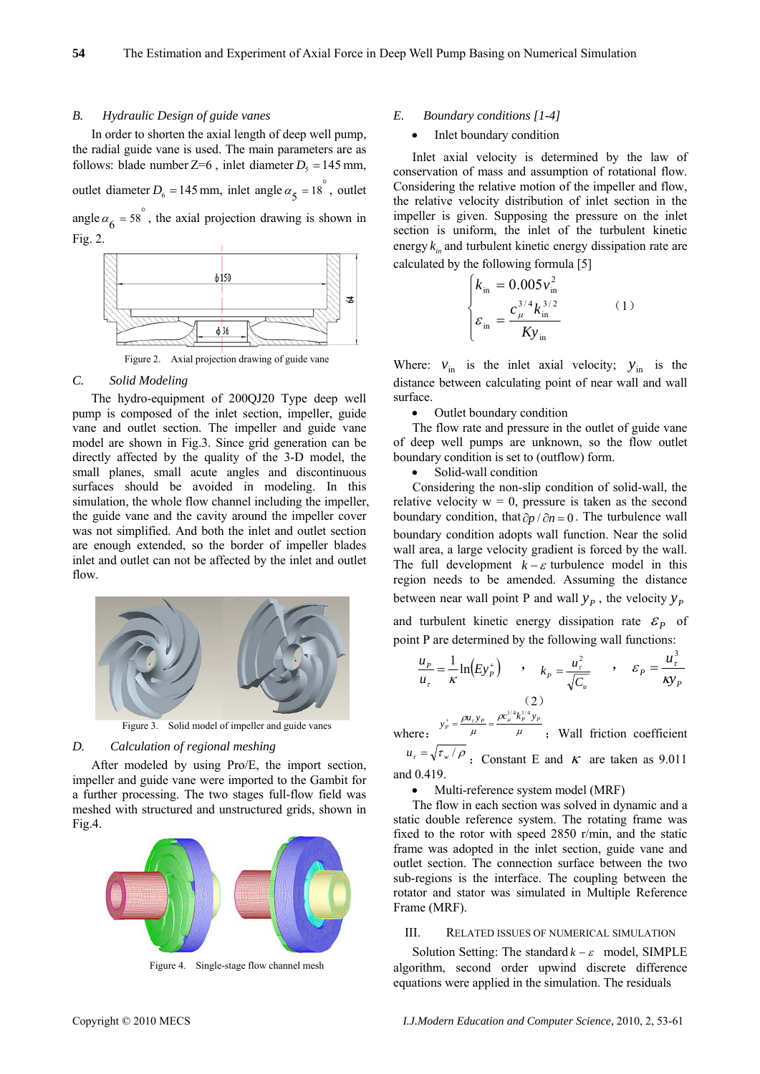#### *B. Hydraulic Design of guide vanes*

In order to shorten the axial length of deep well pump, the radial guide vane is used. The main parameters are as follows: blade number  $Z=6$ , inlet diameter  $D_5 = 145$  mm, outlet diameter  $D_6 = 145$  mm, inlet angle  $\alpha_5 = 18^\circ$ , outlet angle  $\alpha_6 = 58^\circ$ , the axial projection drawing is shown in Fig. 2.



Figure 2. Axial projection drawing of guide vane

### *C. Solid Modeling*

The hydro-equipment of 200QJ20 Type deep well pump is composed of the inlet section, impeller, guide vane and outlet section. The impeller and guide vane model are shown in Fig.3. Since grid generation can be directly affected by the quality of the 3-D model, the small planes, small acute angles and discontinuous surfaces should be avoided in modeling. In this simulation, the whole flow channel including the impeller, the guide vane and the cavity around the impeller cover was not simplified. And both the inlet and outlet section are enough extended, so the border of impeller blades inlet and outlet can not be affected by the inlet and outlet flow.



Figure 3. Solid model of impeller and guide vanes

# *D. Calculation of regional meshing*

After modeled by using Pro/E, the import section, impeller and guide vane were imported to the Gambit for a further processing. The two stages full-flow field was meshed with structured and unstructured grids, shown in Fig.4.



Figure 4. Single-stage flow channel mesh

#### *E. Boundary conditions [1-4]*

Inlet boundary condition

Inlet axial velocity is determined by the law of conservation of mass and assumption of rotational flow. Considering the relative motion of the impeller and flow, the relative velocity distribution of inlet section in the impeller is given. Supposing the pressure on the inlet section is uniform, the inlet of the turbulent kinetic energy  $k_{in}$  and turbulent kinetic energy dissipation rate are calculated by the following formula [5]

$$
\begin{cases}\nk_{\text{in}} = 0.005 v_{\text{in}}^2 \\
\varepsilon_{\text{in}} = \frac{c_{\mu}^{3/4} k_{\text{in}}^{3/2}}{K y_{\text{in}}} \n\end{cases} (1)
$$

Where:  $v_{\text{in}}$  is the inlet axial velocity;  $y_{\text{in}}$  is the distance between calculating point of near wall and wall surface.

• Outlet boundary condition

The flow rate and pressure in the outlet of guide vane of deep well pumps are unknown, so the flow outlet boundary condition is set to (outflow) form.

• Solid-wall condition

Considering the non-slip condition of solid-wall, the relative velocity  $w = 0$ , pressure is taken as the second boundary condition, that  $\partial p / \partial n = 0$ . The turbulence wall boundary condition adopts wall function. Near the solid wall area, a large velocity gradient is forced by the wall. The full development  $k - \varepsilon$  turbulence model in this region needs to be amended. Assuming the distance between near wall point P and wall  $y_p$ , the velocity  $y_p$ and turbulent kinetic energy dissipation rate  $\varepsilon_p$  of point P are determined by the following wall functions:

 $\frac{P}{P} = \frac{1}{P} \ln(E y_P^+)$ *u*  $\frac{u_p}{u_\tau} = \frac{1}{\kappa} \ln(E y_p^+)$  ,  $k_p = \frac{u_\tau^2}{\sqrt{C_u}}$  $P = \sqrt{C}$  $k_p = \frac{u_r^2}{\sqrt{2}}$ , *P y u* κ  $\varepsilon_p = \frac{u_\tau^3}{\sqrt{v}}$ (2)

where:  $\mu$   $\mu$ ρ μ  $y_P^+ = \frac{\rho u_r y_P}{\mu} = \frac{\rho c_\mu^{1/4} k_P^{1/4} y_P}{\mu}$ ; Wall friction coefficient

 $u_r = \sqrt{\tau_w / \rho}$ ; Constant E and *K* are taken as 9.011 and 0.419.

Multi-reference system model (MRF)

The flow in each section was solved in dynamic and a static double reference system. The rotating frame was fixed to the rotor with speed 2850 r/min, and the static frame was adopted in the inlet section, guide vane and outlet section. The connection surface between the two sub-regions is the interface. The coupling between the rotator and stator was simulated in Multiple Reference Frame (MRF).

#### III. RELATED ISSUES OF NUMERICAL SIMULATION

Solution Setting: The standard  $k - \varepsilon$  model, SIMPLE algorithm, second order upwind discrete difference equations were applied in the simulation. The residuals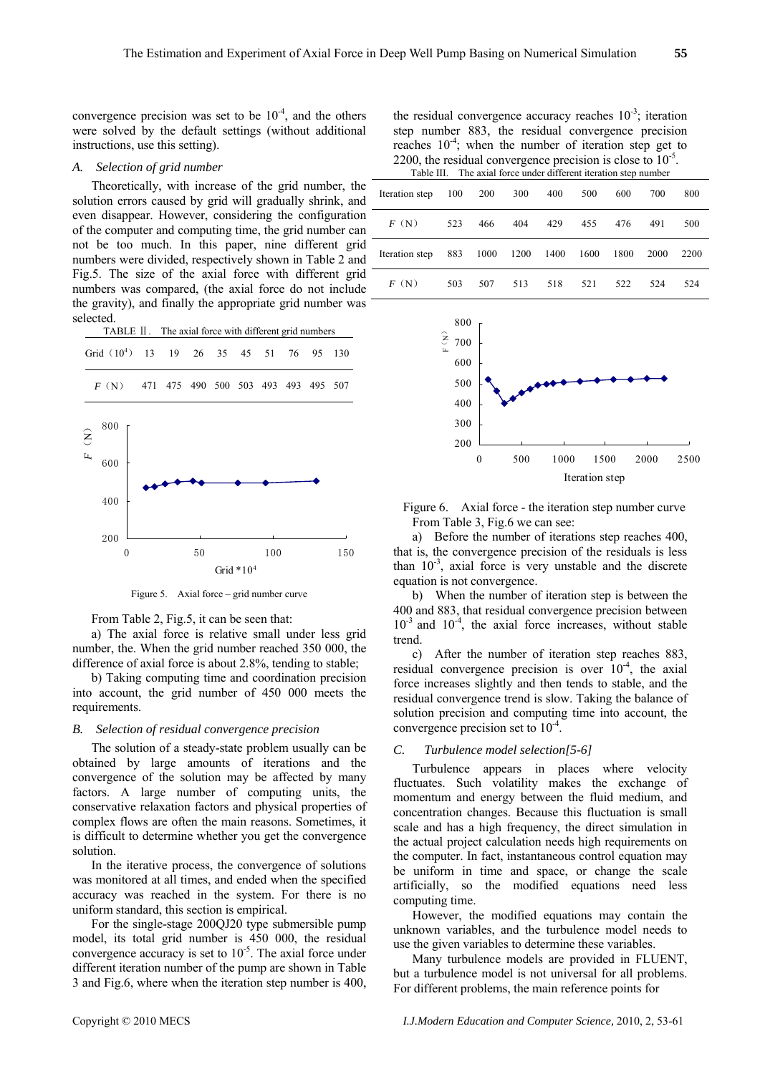convergence precision was set to be  $10^{-4}$ , and the others were solved by the default settings (without additional instructions, use this setting).

#### *A. Selection of grid number*

Theoretically, with increase of the grid number, the solution errors caused by grid will gradually shrink, and even disappear. However, considering the configuration of the computer and computing time, the grid number can not be too much. In this paper, nine different grid numbers were divided, respectively shown in Table 2 and Fig.5. The size of the axial force with different grid numbers was compared, (the axial force do not include the gravity), and finally the appropriate grid number was selected.



Figure 5. Axial force – grid number curve

From Table 2, Fig.5, it can be seen that:

a) The axial force is relative small under less grid number, the. When the grid number reached 350 000, the difference of axial force is about 2.8%, tending to stable;

b) Taking computing time and coordination precision into account, the grid number of 450 000 meets the requirements.

#### *B. Selection of residual convergence precision*

The solution of a steady-state problem usually can be obtained by large amounts of iterations and the convergence of the solution may be affected by many factors. A large number of computing units, the conservative relaxation factors and physical properties of complex flows are often the main reasons. Sometimes, it is difficult to determine whether you get the convergence solution.

In the iterative process, the convergence of solutions was monitored at all times, and ended when the specified accuracy was reached in the system. For there is no uniform standard, this section is empirical.

For the single-stage 200QJ20 type submersible pump model, its total grid number is 450 000, the residual convergence accuracy is set to  $10^{-5}$ . The axial force under different iteration number of the pump are shown in Table 3 and Fig.6, where when the iteration step number is 400,

the residual convergence accuracy reaches  $10^{-3}$ ; iteration step number 883, the residual convergence precision reaches  $10^{-4}$ ; when the number of iteration step get to 2200, the residual convergence precision is close to  $10^{-5}$ .<br>Table III. The axial force under different iteration step number

| Iteration step | 100 | 200  | 300  | 400  | 500  | 600  | 700  | 800  |
|----------------|-----|------|------|------|------|------|------|------|
| F(N)           | 523 | 466  | 404  | 429  | 455  | 476  | 491  | 500  |
| Iteration step | 883 | 1000 | 1200 | 1400 | 1600 | 1800 | 2000 | 2200 |
| F(N)           | 503 | 507  | 513  | 518  | 521  | 522  | 524  | 524  |



Figure 6. Axial force - the iteration step number curve From Table 3, Fig.6 we can see:

a) Before the number of iterations step reaches 400, that is, the convergence precision of the residuals is less than  $10^{-3}$ , axial force is very unstable and the discrete equation is not convergence.

b) When the number of iteration step is between the 400 and 883, that residual convergence precision between  $10^{-3}$  and  $10^{-4}$ , the axial force increases, without stable trend.

c) After the number of iteration step reaches 883, residual convergence precision is over  $10^{-4}$ , the axial force increases slightly and then tends to stable, and the residual convergence trend is slow. Taking the balance of solution precision and computing time into account, the convergence precision set to 10-4.

## *C. Turbulence model selection[5-6]*

Turbulence appears in places where velocity fluctuates. Such volatility makes the exchange of momentum and energy between the fluid medium, and concentration changes. Because this fluctuation is small scale and has a high frequency, the direct simulation in the actual project calculation needs high requirements on the computer. In fact, instantaneous control equation may be uniform in time and space, or change the scale artificially, so the modified equations need less computing time.

However, the modified equations may contain the unknown variables, and the turbulence model needs to use the given variables to determine these variables.

Many turbulence models are provided in FLUENT, but a turbulence model is not universal for all problems. For different problems, the main reference points for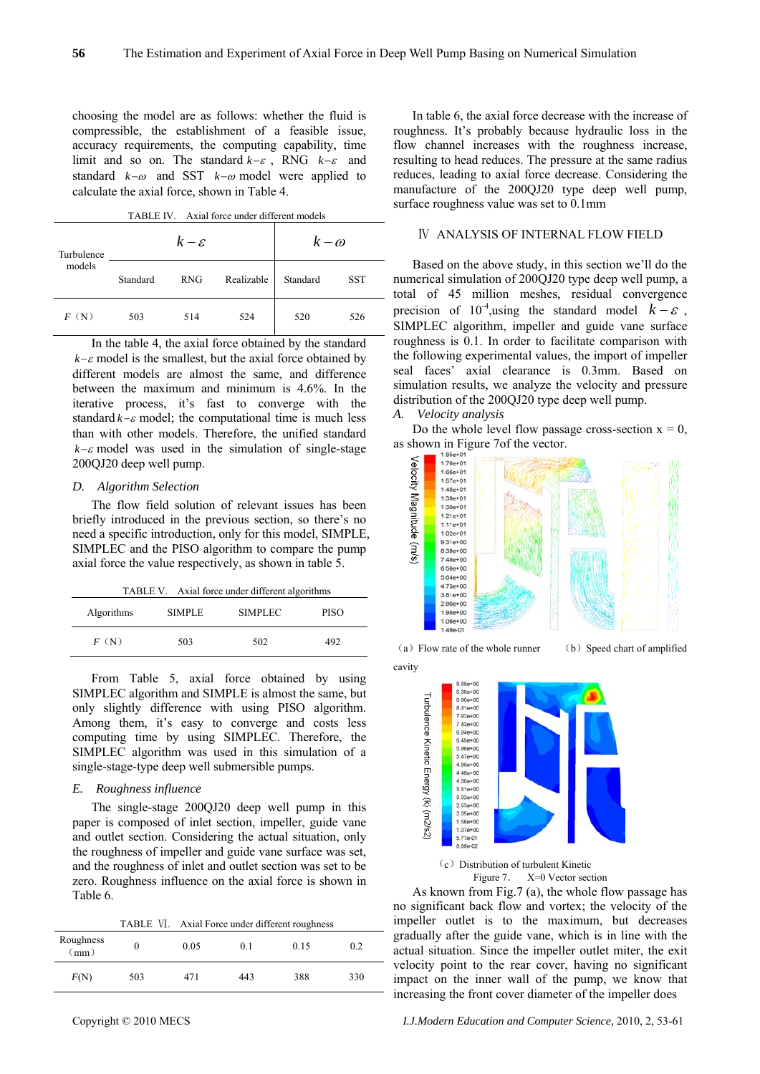choosing the model are as follows: whether the fluid is compressible, the establishment of a feasible issue, accuracy requirements, the computing capability, time limit and so on. The standard *k*−<sup>ε</sup> , RNG *k*−ε and standard *k*−ω and SST *k*−<sup>ω</sup> model were applied to calculate the axial force, shown in Table 4.

| Axial force under different models<br>TABLE IV. |  |
|-------------------------------------------------|--|
|-------------------------------------------------|--|

| Turbulence |          | $k-\varepsilon$ |            | $k-\omega$ |            |
|------------|----------|-----------------|------------|------------|------------|
| models     | Standard | <b>RNG</b>      | Realizable | Standard   | <b>SST</b> |
| F(N)       | 503      | 514             | 524        | 520        | 526        |

In the table 4, the axial force obtained by the standard  $k-\varepsilon$  model is the smallest, but the axial force obtained by different models are almost the same, and difference between the maximum and minimum is 4.6%. In the iterative process, it's fast to converge with the standard *k*−<sup>ε</sup> model; the computational time is much less than with other models. Therefore, the unified standard  $k-\varepsilon$  model was used in the simulation of single-stage 200QJ20 deep well pump.

## *D. Algorithm Selection*

The flow field solution of relevant issues has been briefly introduced in the previous section, so there's no need a specific introduction, only for this model, SIMPLE, SIMPLEC and the PISO algorithm to compare the pump axial force the value respectively, as shown in table 5.

| TABLE V. Axial force under different algorithms |               |                |      |  |  |
|-------------------------------------------------|---------------|----------------|------|--|--|
| Algorithms                                      | <b>SIMPLE</b> | <b>SIMPLEC</b> | PISO |  |  |
| F(N)                                            | 503           | 502            | 492  |  |  |

From Table 5, axial force obtained by using SIMPLEC algorithm and SIMPLE is almost the same, but only slightly difference with using PISO algorithm. Among them, it's easy to converge and costs less computing time by using SIMPLEC. Therefore, the SIMPLEC algorithm was used in this simulation of a single-stage-type deep well submersible pumps.

## *E. Roughness influence*

The single-stage 200QJ20 deep well pump in this paper is composed of inlet section, impeller, guide vane and outlet section. Considering the actual situation, only the roughness of impeller and guide vane surface was set, and the roughness of inlet and outlet section was set to be zero. Roughness influence on the axial force is shown in Table 6.

TABLE Ⅵ. Axial Force under different roughness

| Roughness<br>(mm) |     | 0.05 | 0.1 | 0.15 | 0.2 |
|-------------------|-----|------|-----|------|-----|
| F(N)              | 503 | 471  | 443 | 388  | 330 |

In table 6, the axial force decrease with the increase of roughness. It's probably because hydraulic loss in the flow channel increases with the roughness increase, resulting to head reduces. The pressure at the same radius reduces, leading to axial force decrease. Considering the manufacture of the 200QJ20 type deep well pump, surface roughness value was set to 0.1mm

## Ⅳ ANALYSIS OF INTERNAL FLOW FIELD

Based on the above study, in this section we'll do the numerical simulation of 200QJ20 type deep well pump, a total of 45 million meshes, residual convergence precision of  $10^{-4}$ , using the standard model  $k - \varepsilon$ , SIMPLEC algorithm, impeller and guide vane surface roughness is 0.1. In order to facilitate comparison with the following experimental values, the import of impeller seal faces' axial clearance is 0.3mm. Based on simulation results, we analyze the velocity and pressure distribution of the 200QJ20 type deep well pump.

#### *A. Velocity analysis*

Do the whole level flow passage cross-section  $x = 0$ ,



cavity

Ĭ

 $9.39e + 00$ 8.90e+00 8.41e+00 7.92e+00<br>7.43e+00 6.94e+00 6.45e+00  $5.96e+00$ 4.98e+00  $4.49e+00$  $3.51e+00$  $3.02 + 00$  $2.53e+00$ <br>2.05e+00  $1.56e + 00$  $1.07e+00$ 5.77e-01



As known from Fig.7 (a), the whole flow passage has no significant back flow and vortex; the velocity of the impeller outlet is to the maximum, but decreases gradually after the guide vane, which is in line with the actual situation. Since the impeller outlet miter, the exit velocity point to the rear cover, having no significant impact on the inner wall of the pump, we know that increasing the front cover diameter of the impeller does

Copyright © 2010 MECS *I.J.Modern Education and Computer Science,* 2010, 2, 53-61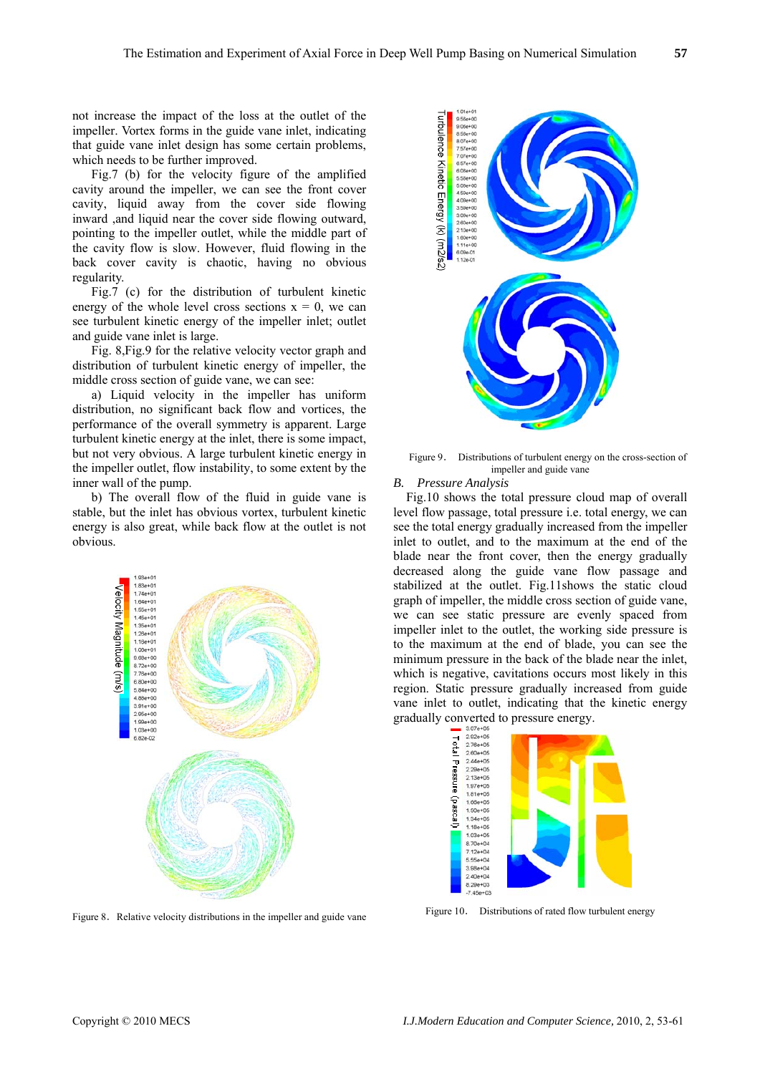not increase the impact of the loss at the outlet of the impeller. Vortex forms in the guide vane inlet, indicating that guide vane inlet design has some certain problems, which needs to be further improved.

Fig.7 (b) for the velocity figure of the amplified cavity around the impeller, we can see the front cover cavity, liquid away from the cover side flowing inward ,and liquid near the cover side flowing outward. pointing to the impeller outlet, while the middle part of the cavity flow is slow. However, fluid flowing in the back cover cavity is chaotic, having no obvious regularity.

Fig.7 (c) for the distribution of turbulent kinetic energy of the whole level cross sections  $x = 0$ , we can see turbulent kinetic energy of the impeller inlet; outlet and guide vane inlet is large.

Fig. 8,Fig.9 for the relative velocity vector graph and distribution of turbulent kinetic energy of impeller, the middle cross section of guide vane, we can see:

 a) Liquid velocity in the impeller has uniform distribution, no significant back flow and vortices, the performance of the overall symmetry is apparent. Large turbulent kinetic energy at the inlet, there is some impact, but not very obvious. A large turbulent kinetic energy in the impeller outlet, flow instability, to some extent by the inner wall of the pump.

 b) The overall flow of the fluid in guide vane is stable, but the inlet has obvious vortex, turbulent kinetic energy is also great, while back flow at the outlet is not obvious.



Figure 8. Relative velocity distributions in the impeller and guide vane



Figure 9. Distributions of turbulent energy on the cross-section of impeller and guide vane

# *B. Pressure Analysis*

Fig.10 shows the total pressure cloud map of overall level flow passage, total pressure i.e. total energy, we can see the total energy gradually increased from the impeller inlet to outlet, and to the maximum at the end of the blade near the front cover, then the energy gradually decreased along the guide vane flow passage and stabilized at the outlet. Fig.11shows the static cloud graph of impeller, the middle cross section of guide vane, we can see static pressure are evenly spaced from impeller inlet to the outlet, the working side pressure is to the maximum at the end of blade, you can see the minimum pressure in the back of the blade near the inlet, which is negative, cavitations occurs most likely in this region. Static pressure gradually increased from guide vane inlet to outlet, indicating that the kinetic energy gradually converted to pressure energy.



Figure 10. Distributions of rated flow turbulent energy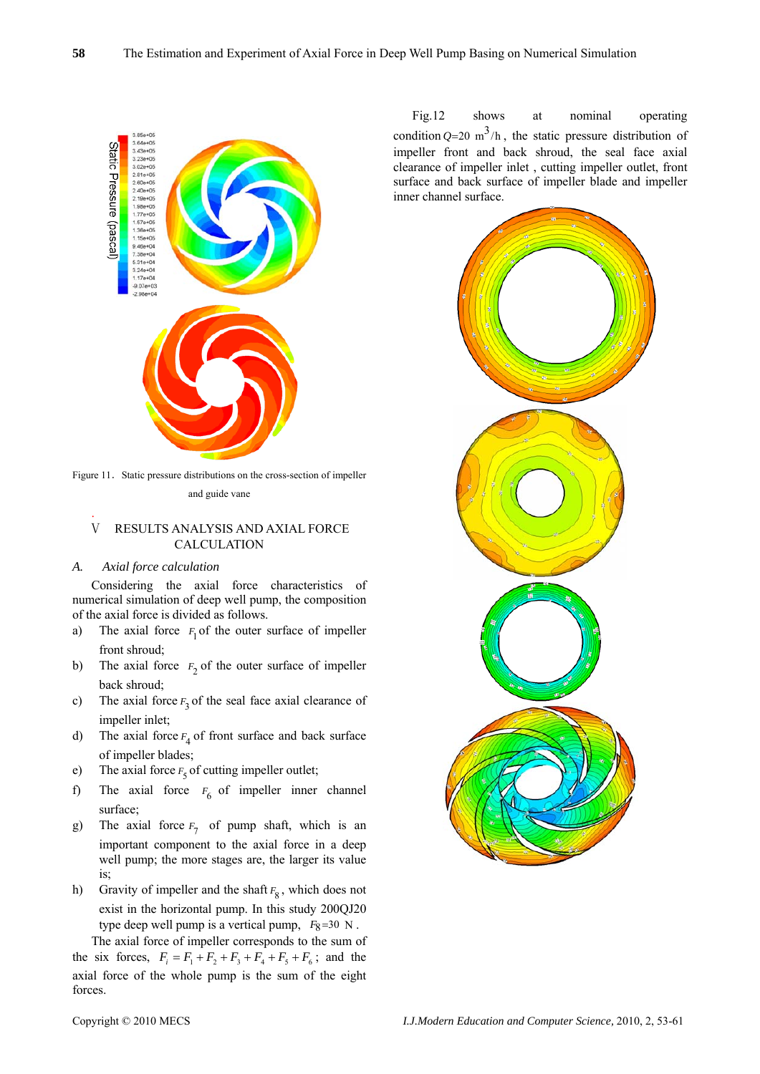

Figure 11. Static pressure distributions on the cross-section of impeller and guide vane

# Ⅴ RESULTS ANALYSIS AND AXIAL FORCE CALCULATION

#### *A. xial force calculation A*

.

Considering the axial force characteristics of numerical simulation of deep well pump, the composition of the axial force is divided as follows.

- a) The axial force  $F_1$  of the outer surface of impeller front shroud;
- b) The axial force  $F_2$  of the outer surface of impeller back shroud;
- c) The axial force  $F_3$  of the seal face axial clearance of impeller inlet;
- d) The axial force  $F_4$  of front surface and back surface of impeller blades;
- e) The axial force  $F_5$  of cutting impeller outlet;
- f) The axial force  $F_6$  of impeller inner channel surface;
- g) The axial force  $F_7$  of pump shaft, which is an important component to the axial force in a deep well pump; the more stages are, the larger its value is;
- h) Gravity of impeller and the shaft  $F_8$ , which does not exist in the horizontal pump. In this study 200QJ20 type deep well pump is a vertical pump,  $F_8 = 30$  N.

The axial force of impeller corresponds to the sum of the six forces,  $F_i = F_1 + F_2 + F_3 + F_4 + F_5 + F_6$ ; and the axial force of the whole pump is the sum of the eight forces.

Fig.12 shows at nominal operating condition  $Q=20 \text{ m}^3/h$ , the static pressure distribution of impeller front and back shroud, the seal face axial clearance of impeller inlet , cutting impeller outlet, front surface and back surface of impeller blade and impeller inner channel surface.

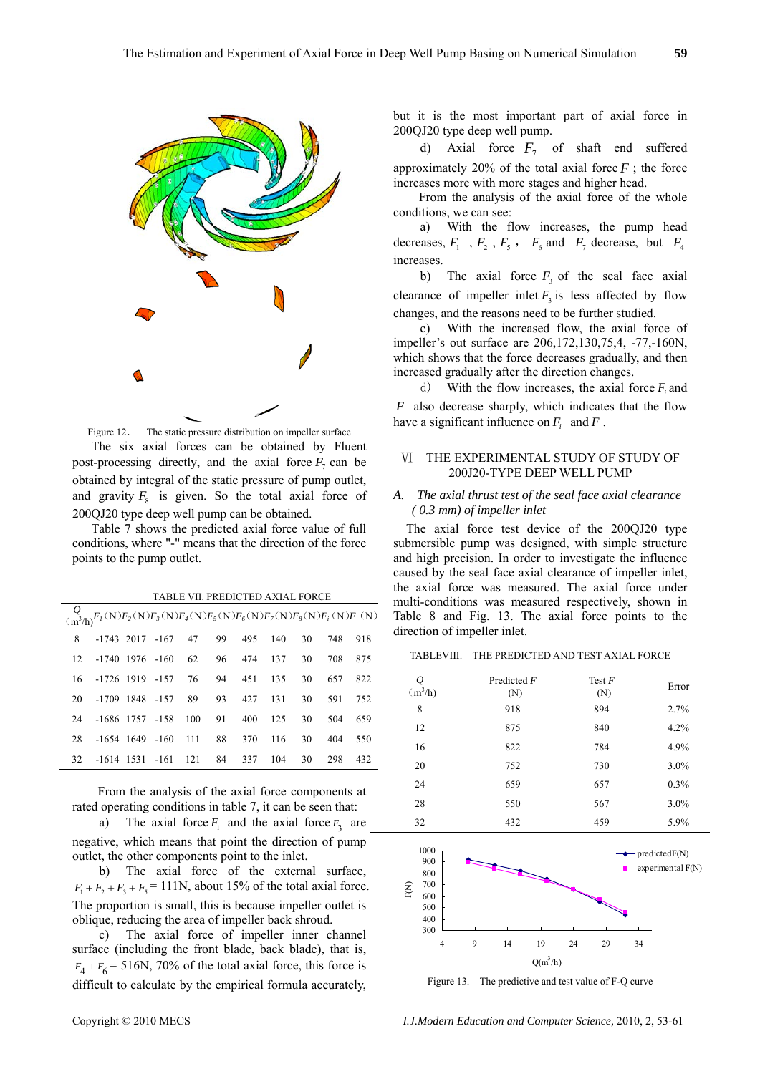

Figure 12. The static pressure distribution on impeller surface The six axial forces can be obtained by Fluent post-processing directly, and the axial force  $F_7$  can be and gravity  $F_8$  is given. So the total axial force of obtained by integral of the static pressure of pump outlet, 200QJ20 type deep well pump can be obtained.

Table 7 shows the predicted axial force value of full conditions, where "-" means that the direction of the force points to the pump outlet.

TABLE VII. PREDICTED AXIAL FORCE

|    | $\underbrace{Q}_{(\mathfrak{m}^3/\mathfrak{h})}F_i(\mathbf{N})F_2(\mathbf{N})F_i(\mathbf{N})F_4(\mathbf{N})F_5(\mathbf{N})F_6(\mathbf{N})F_7(\mathbf{N})F_8(\mathbf{N})F_i(\mathbf{N})F(\mathbf{N})$ |                                          |    |            |         |      |     |                      |
|----|------------------------------------------------------------------------------------------------------------------------------------------------------------------------------------------------------|------------------------------------------|----|------------|---------|------|-----|----------------------|
| 8  |                                                                                                                                                                                                      | $-1743$ 2017 $-167$ 47 99 495 140 30 748 |    |            |         |      |     | 918                  |
| 12 |                                                                                                                                                                                                      | $-1740$ 1976 $-160$ 62                   |    | 96 474 137 |         | 30   | 708 | 875                  |
|    | 16 -1726 1919 -157 76 94 451 135                                                                                                                                                                     |                                          |    |            |         | 30   |     | 657 822              |
| 20 |                                                                                                                                                                                                      | -1709 1848 -157 89 93 427 131            |    |            |         |      |     | $30$ $591$ $752$ $-$ |
| 24 |                                                                                                                                                                                                      | $-1686$ 1757 $-158$ 100 91 400 125       |    |            |         | 30 F |     | 504 659              |
| 28 |                                                                                                                                                                                                      | $-1654$ 1649 $-160$ 111                  | 88 |            | 370 116 | 30 · | 404 | 550                  |
| 32 |                                                                                                                                                                                                      | $-1614$ 1531 $-161$ 121 84               |    | 337        | 104     | 30   | 298 | 432                  |

From the analysis of the axial force components at rated operating conditions in table 7, it can be seen that:

a) The axial force  $F_1$  and the axial force  $F_3$  are negative, which means that point the direction of pump outlet, the other components point to the inlet.

b) The axial force of the external surface,  $F_1 + F_2 + F_3 + F_5 = 111$ N, about 15% of the total axial force. The proportion is small, this is because impeller outlet is oblique, reducing the area of impeller back shroud.

surface (including the front blade, back blade), that is, c) The axial force of impeller inner channel  $F_4 + F_6 = 516N$ , 70% of the total axial force, this force is difficult to calculate by the empirical formula accurately,

but it is the most important part of axial force in 200QJ20 type deep well pump.

d) Axial force  $F_7$  of shaft end suffered approximately 20% of the total axial force  $F$ ; the force increases more with more stages and higher head.

From the analysis of the axial force of the whole conditions, we can see:

a) With the flow increases, the pump head decreases,  $F_1$ ,  $F_2$ ,  $F_5$ ,  $F_6$  and  $F_7$  decrease, but  $F_4$ increases.

b) The axial force  $F_3$  of the seal face axial clearance of impeller inlet  $F_3$  is less affected by flow changes, and the reasons need to be further studied.

c) With the increased flow, the axial force of impeller's out surface are 206,172,130,75,4, -77,-160N, which shows that the force decreases gradually, and then increased gradually after the direction changes.

d) With the flow increases, the axial force  $F_i$  and *F* also decrease sharply, which indicates that th e flow have a significant influence on  $F_i$  and  $F$ .

## Ⅵ THE EXPERIMENTAL STUDY OF STUDY OF 200J20-TYPE DEEP WELL PUMP

## *A. The axial thrust test of the seal face axial clearance ( 0.3 mm) of impeller inlet*

The axial force test device of the 200QJ20 type submersible pump was designed, with simple structure and high precision. In order to investigate the influence caused by the seal face axial clearance of impeller inlet, the axial force was measured. The axial force under multi-conditions was measured respectively, shown in Table 8 and Fig. 13. The axial force points to the direction of impeller inlet.

TABLEVIII. THE PREDICTED AND TEST AXIAL FORCE

| Q<br>$(m^3/h)$ | Predicted F<br>(N) | Test $F$<br>(N) | Error |
|----------------|--------------------|-----------------|-------|
| 8              | 918                | 894             | 2.7%  |
| 12             | 875                | 840             | 4.2%  |
| 16             | 822                | 784             | 4.9%  |
| 20             | 752                | 730             | 3.0%  |
| 24             | 659                | 657             | 0.3%  |
| 28             | 550                | 567             | 3.0%  |
| 32             | 432                | 459             | 5.9%  |



Figure 13. The predictive and test value of F-Q curve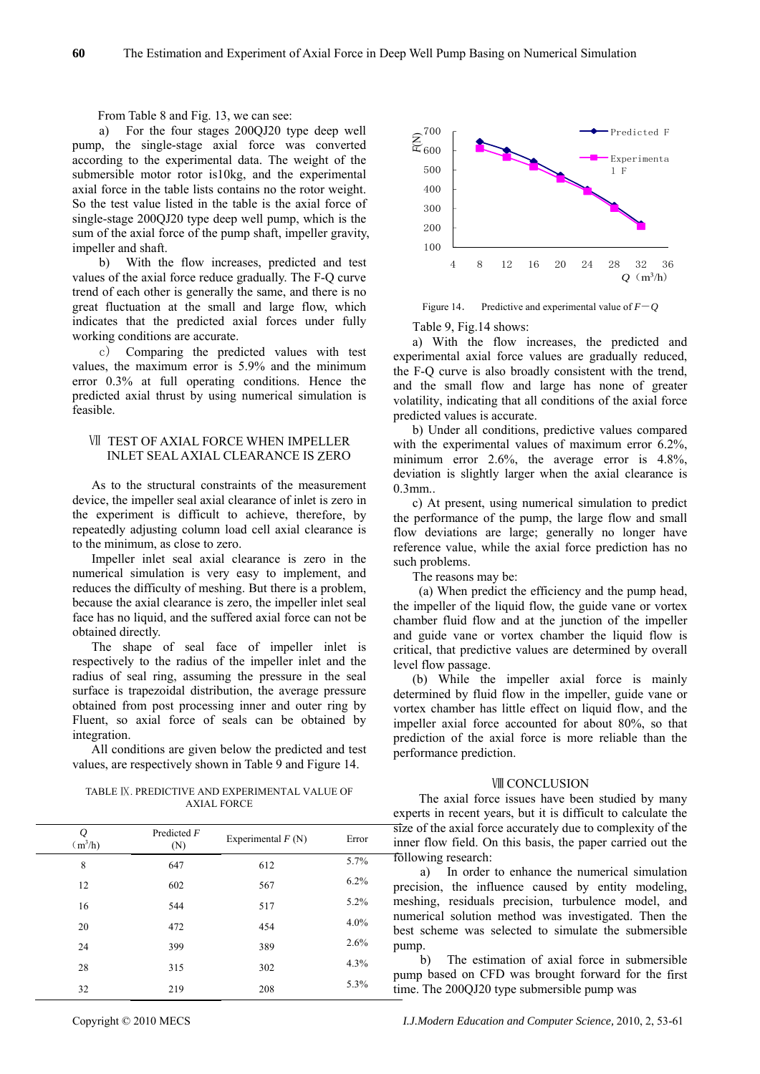From Table 8 and Fig. 13, we can see:

a) For the four stages 200QJ20 type deep well pump, the single-stage axial force was converted according to the experimental data. The weight of the submersible motor rotor is10kg, and the experim ental axial force in the table lists contains no the rotor weigh t. So the test value listed in the table is the axial force of single-stage 200QJ20 type deep well pump, which is the sum of the axial force of the pump shaft, impeller gravity, impeller and shaft.

b) With the flow increases, predicted and t est values of the axial force reduce gradually. The F-Q curve trend of each other is generally the same, and there i s no great fluctuation at the small and large flow, w hich indicates that the predicted axial forces under fully working conditions are accurate.

c) Comparing the predicted values with test values, the maximum error is 5.9% and the minim um error 0.3% at full operating conditions. Hence th e predicted axial thrust by using numerical simulation is feasible.

# INLET SEAL AXIAL CLEARANCE IS ZERO Ⅶ TEST OF AXIAL FORCE WHEN IMPELLER

the experiment is difficult to achieve, therefore, by rep eatedly adjusting column load cell axial clearance is As to the structural constraints of the measurement device, the impeller seal axial clearance of inlet is zero in to the minimum, as close to zero.

Impeller inlet seal axial clearance is zero in the numerical simulation is very easy to implement, and reduces the difficulty of meshing. But there is a problem, because the axial clearance is zero, the impeller inlet seal face has no liquid, and the suffered axial force can not be obtained directly.

The shape of seal face of impeller inlet is respectively to the radius of the impeller inlet and the radius of seal ring, assuming the pressure in the seal surface is trapezoidal distribution, the average pressure obtained from post processing inner and outer ring by Fluent, so axial force of seals can be obtained by integration.

All conditions are given below the predicted and test values, are respectively shown in Table 9 and Figure 14.

#### TABLE IX. PREDICTIVE AND EXPERIMENTAL VALUE OF AXIAL FORCE

| Q<br>$(m^3/h)$ | Predicted F<br>(N) | Experimental $F(N)$ | Error |
|----------------|--------------------|---------------------|-------|
| 8              | 647                | 612                 | 5.7%  |
| 12             | 602                | 567                 | 6.2%  |
| 16             | 544                | 517                 | 5.2%  |
| 20             | 472                | 454                 | 4.0%  |
| 24             | 399                | 389                 | 2.6%  |
| 28             | 315                | 302                 | 4.3%  |
| 32             | 219                | 208                 | 5.3%  |



Figure 14. Predictive and experimental value of  $F-Q$ 

Table 9, Fig.14 shows:

a) With the flow increases, the predicted and experimental axial force values are gradually reduced, the F-Q curve is also broadly consistent with the trend, and the small flow and large has none of greater volatility, indicating that all conditions of the axial force predicted values is accurate.

b) Under all conditions, predictive values compared with the experimental values of maximum error  $6.2\%$ , minimum error 2.6%, the average error is 4.8%, deviation is slightly larger when the axial clearance is 0.3mm..

the performance of the pump, the large flow and small c) At present, using numerical simulation to predict flow deviations are large; generally no longer have reference value, while the axial force prediction has no such problems.

The reasons may be:

and guide vane or vortex chamber the liquid flow is critical, that predictive values are determined by overall lev el flow passage. (a) When predict the efficiency and the pump head, the impeller of the liquid flow, the guide vane or vortex chamber fluid flow and at the junction of the impeller

(b) While the impeller axial force is mainly determined by fluid flow in the impeller, guide vane or vortex chamber has little effect on liquid flow, and the impeller axial force accounted for about 80%, so that prediction of the axial force is more reliable than the performance prediction.

## **VIII CONCLUSION**

The axial force issues have been studied by many experts in recent years, but it is difficult to calculate the size of the axial force accurately due to complexity of the inner flow field. On this basis, the paper carried out the following research:

a) In order to enhance the numerical simulation precision, the influence caused by entity modeling, meshing, residuals precision, turbulence model, and numerical solution method was investigated. Then the best scheme was selected to simulate the submersible pump.

b) The estimation of axial force in submersible pump based on CFD was brought forward for the first time. Th e 200QJ20 type submersible pump was